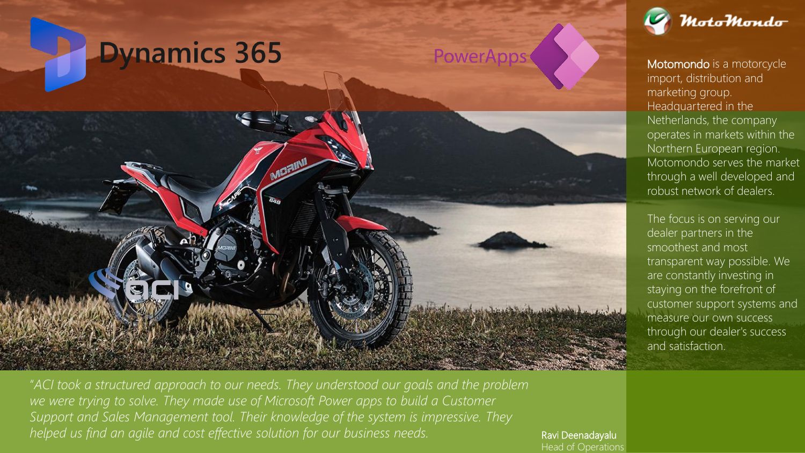

"*ACI took a structured approach to our needs. They understood our goals and the problem we were trying to solve. They made use of Microsoft Power apps to build a Customer Support and Sales Management tool. Their knowledge of the system is impressive. They helped us find an agile and cost effective solution for our business needs.* The *Ravi Deenadayalu* 

Head of Operations



Motomondo is a motorcycle import, distribution and marketing group. Headquartered in the Netherlands, the company operates in markets within the Northern European region. Motomondo serves the market through a well developed and robust network of dealers.

The focus is on serving our dealer partners in the smoothest and most transparent way possible. We are constantly investing in staying on the forefront of customer support systems and measure our own success through our dealer's success and satisfaction.